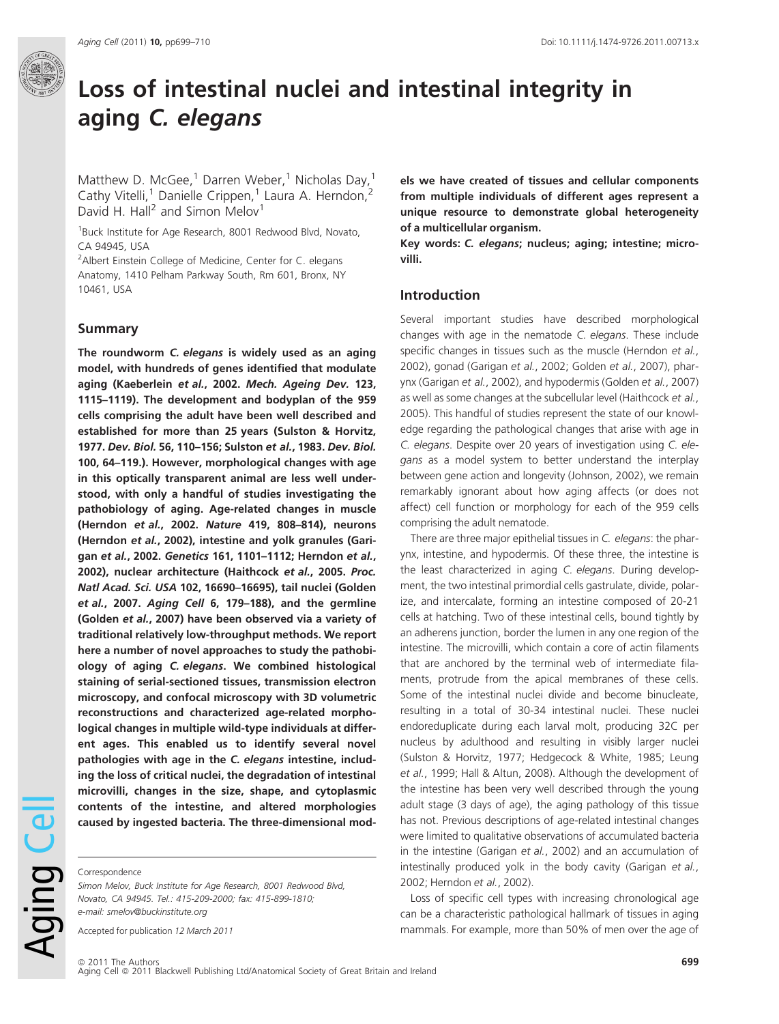

# Loss of intestinal nuclei and intestinal integrity in aging C. elegans

Matthew D. McGee, $^1$  Darren Weber, $^1$  Nicholas Day, $^1$ Cathy Vitelli,<sup>1</sup> Danielle Crippen,<sup>1</sup> Laura A. Herndon,<sup>2</sup> David H. Hall<sup>2</sup> and Simon Melov<sup>1</sup>

<sup>1</sup>Buck Institute for Age Research, 8001 Redwood Blvd, Novato, CA 94945, USA

<sup>2</sup> Albert Einstein College of Medicine, Center for C. elegans Anatomy, 1410 Pelham Parkway South, Rm 601, Bronx, NY 10461, USA

## Summary

The roundworm C. elegans is widely used as an aging model, with hundreds of genes identified that modulate aging (Kaeberlein et al., 2002. Mech. Ageing Dev. 123, 1115–1119). The development and bodyplan of the 959 cells comprising the adult have been well described and established for more than 25 years (Sulston & Horvitz, 1977. Dev. Biol. 56, 110–156; Sulston et al., 1983. Dev. Biol. 100, 64–119.). However, morphological changes with age in this optically transparent animal are less well understood, with only a handful of studies investigating the pathobiology of aging. Age-related changes in muscle (Herndon et al., 2002. Nature 419, 808–814), neurons (Herndon et al., 2002), intestine and yolk granules (Garigan et al., 2002. Genetics 161, 1101–1112; Herndon et al., 2002), nuclear architecture (Haithcock et al., 2005. Proc. Natl Acad. Sci. USA 102, 16690–16695), tail nuclei (Golden et al., 2007. Aging Cell 6, 179–188), and the germline (Golden et al., 2007) have been observed via a variety of traditional relatively low-throughput methods. We report here a number of novel approaches to study the pathobiology of aging C. elegans. We combined histological staining of serial-sectioned tissues, transmission electron microscopy, and confocal microscopy with 3D volumetric reconstructions and characterized age-related morphological changes in multiple wild-type individuals at different ages. This enabled us to identify several novel pathologies with age in the C. elegans intestine, including the loss of critical nuclei, the degradation of intestinal microvilli, changes in the size, shape, and cytoplasmic contents of the intestine, and altered morphologies caused by ingested bacteria. The three-dimensional mod-

Correspondence

Aging Cell

Simon Melov, Buck Institute for Age Research, 8001 Redwood Blvd, Novato, CA 94945. Tel.: 415-209-2000; fax: 415-899-1810; e-mail: smelov@buckinstitute.org

Accepted for publication 12 March 2011

els we have created of tissues and cellular components from multiple individuals of different ages represent a unique resource to demonstrate global heterogeneity of a multicellular organism.

Key words: C. elegans; nucleus; aging; intestine; microvilli.

# Introduction

Several important studies have described morphological changes with age in the nematode C. elegans. These include specific changes in tissues such as the muscle (Herndon et al., 2002), gonad (Garigan et al., 2002; Golden et al., 2007), pharynx (Garigan et al., 2002), and hypodermis (Golden et al., 2007) as well as some changes at the subcellular level (Haithcock et al., 2005). This handful of studies represent the state of our knowledge regarding the pathological changes that arise with age in C. elegans. Despite over 20 years of investigation using C. elegans as a model system to better understand the interplay between gene action and longevity (Johnson, 2002), we remain remarkably ignorant about how aging affects (or does not affect) cell function or morphology for each of the 959 cells comprising the adult nematode.

There are three major epithelial tissues in C. elegans: the pharynx, intestine, and hypodermis. Of these three, the intestine is the least characterized in aging C. elegans. During development, the two intestinal primordial cells gastrulate, divide, polarize, and intercalate, forming an intestine composed of 20-21 cells at hatching. Two of these intestinal cells, bound tightly by an adherens junction, border the lumen in any one region of the intestine. The microvilli, which contain a core of actin filaments that are anchored by the terminal web of intermediate filaments, protrude from the apical membranes of these cells. Some of the intestinal nuclei divide and become binucleate, resulting in a total of 30-34 intestinal nuclei. These nuclei endoreduplicate during each larval molt, producing 32C per nucleus by adulthood and resulting in visibly larger nuclei (Sulston & Horvitz, 1977; Hedgecock & White, 1985; Leung et al., 1999; Hall & Altun, 2008). Although the development of the intestine has been very well described through the young adult stage (3 days of age), the aging pathology of this tissue has not. Previous descriptions of age-related intestinal changes were limited to qualitative observations of accumulated bacteria in the intestine (Garigan et al., 2002) and an accumulation of intestinally produced yolk in the body cavity (Garigan et al., 2002; Herndon et al., 2002).

Loss of specific cell types with increasing chronological age can be a characteristic pathological hallmark of tissues in aging mammals. For example, more than 50% of men over the age of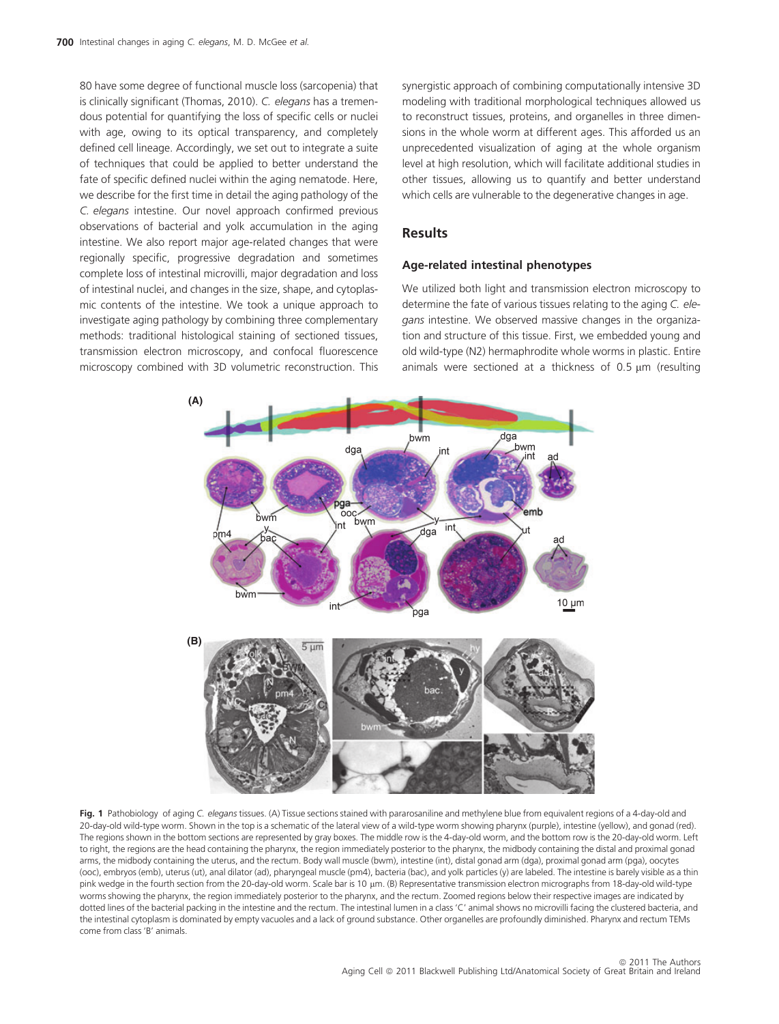80 have some degree of functional muscle loss (sarcopenia) that is clinically significant (Thomas, 2010). C. elegans has a tremendous potential for quantifying the loss of specific cells or nuclei with age, owing to its optical transparency, and completely defined cell lineage. Accordingly, we set out to integrate a suite of techniques that could be applied to better understand the fate of specific defined nuclei within the aging nematode. Here, we describe for the first time in detail the aging pathology of the C. elegans intestine. Our novel approach confirmed previous observations of bacterial and yolk accumulation in the aging intestine. We also report major age-related changes that were regionally specific, progressive degradation and sometimes complete loss of intestinal microvilli, major degradation and loss of intestinal nuclei, and changes in the size, shape, and cytoplasmic contents of the intestine. We took a unique approach to investigate aging pathology by combining three complementary methods: traditional histological staining of sectioned tissues, transmission electron microscopy, and confocal fluorescence microscopy combined with 3D volumetric reconstruction. This

synergistic approach of combining computationally intensive 3D modeling with traditional morphological techniques allowed us to reconstruct tissues, proteins, and organelles in three dimensions in the whole worm at different ages. This afforded us an unprecedented visualization of aging at the whole organism level at high resolution, which will facilitate additional studies in other tissues, allowing us to quantify and better understand which cells are vulnerable to the degenerative changes in age.

## Results

### Age-related intestinal phenotypes

We utilized both light and transmission electron microscopy to determine the fate of various tissues relating to the aging C. elegans intestine. We observed massive changes in the organization and structure of this tissue. First, we embedded young and old wild-type (N2) hermaphrodite whole worms in plastic. Entire animals were sectioned at a thickness of  $0.5 \mu m$  (resulting



Fig. 1 Pathobiology of aging C. elegans tissues. (A) Tissue sections stained with pararosaniline and methylene blue from equivalent regions of a 4-day-old and 20-day-old wild-type worm. Shown in the top is a schematic of the lateral view of a wild-type worm showing pharynx (purple), intestine (yellow), and gonad (red). The regions shown in the bottom sections are represented by gray boxes. The middle row is the 4-day-old worm, and the bottom row is the 20-day-old worm. Left to right, the regions are the head containing the pharynx, the region immediately posterior to the pharynx, the midbody containing the distal and proximal gonad arms, the midbody containing the uterus, and the rectum. Body wall muscle (bwm), intestine (int), distal gonad arm (dga), proximal gonad arm (pga), oocytes (ooc), embryos (emb), uterus (ut), anal dilator (ad), pharyngeal muscle (pm4), bacteria (bac), and yolk particles (y) are labeled. The intestine is barely visible as a thin pink wedge in the fourth section from the 20-day-old worm. Scale bar is 10 µm. (B) Representative transmission electron micrographs from 18-day-old wild-type worms showing the pharynx, the region immediately posterior to the pharynx, and the rectum. Zoomed regions below their respective images are indicated by dotted lines of the bacterial packing in the intestine and the rectum. The intestinal lumen in a class 'C' animal shows no microvilli facing the clustered bacteria, and the intestinal cytoplasm is dominated by empty vacuoles and a lack of ground substance. Other organelles are profoundly diminished. Pharynx and rectum TEMs come from class 'B' animals.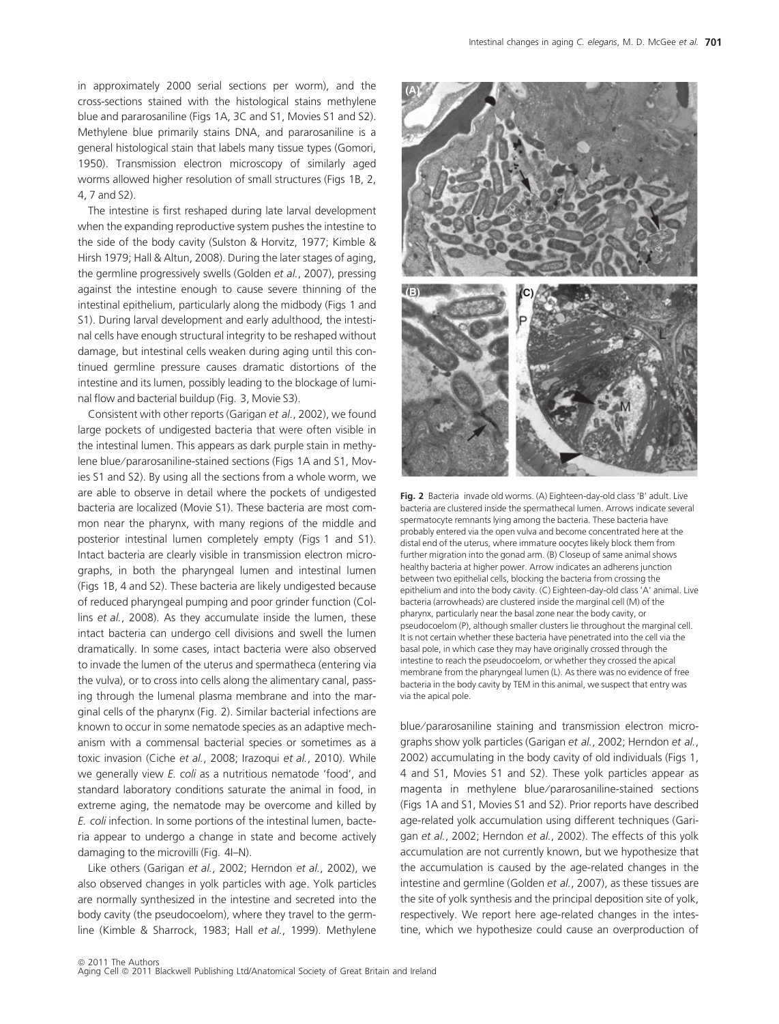in approximately 2000 serial sections per worm), and the cross-sections stained with the histological stains methylene blue and pararosaniline (Figs 1A, 3C and S1, Movies S1 and S2). Methylene blue primarily stains DNA, and pararosaniline is a general histological stain that labels many tissue types (Gomori, 1950). Transmission electron microscopy of similarly aged worms allowed higher resolution of small structures (Figs 1B, 2, 4, 7 and S2).

The intestine is first reshaped during late larval development when the expanding reproductive system pushes the intestine to the side of the body cavity (Sulston & Horvitz, 1977; Kimble & Hirsh 1979; Hall & Altun, 2008). During the later stages of aging, the germline progressively swells (Golden et al., 2007), pressing against the intestine enough to cause severe thinning of the intestinal epithelium, particularly along the midbody (Figs 1 and S1). During larval development and early adulthood, the intestinal cells have enough structural integrity to be reshaped without damage, but intestinal cells weaken during aging until this continued germline pressure causes dramatic distortions of the intestine and its lumen, possibly leading to the blockage of luminal flow and bacterial buildup (Fig. 3, Movie S3).

Consistent with other reports (Garigan et al., 2002), we found large pockets of undigested bacteria that were often visible in the intestinal lumen. This appears as dark purple stain in methylene blue/pararosaniline-stained sections (Figs 1A and S1, Movies S1 and S2). By using all the sections from a whole worm, we are able to observe in detail where the pockets of undigested bacteria are localized (Movie S1). These bacteria are most common near the pharynx, with many regions of the middle and posterior intestinal lumen completely empty (Figs 1 and S1). Intact bacteria are clearly visible in transmission electron micrographs, in both the pharyngeal lumen and intestinal lumen (Figs 1B, 4 and S2). These bacteria are likely undigested because of reduced pharyngeal pumping and poor grinder function (Collins et al., 2008). As they accumulate inside the lumen, these intact bacteria can undergo cell divisions and swell the lumen dramatically. In some cases, intact bacteria were also observed to invade the lumen of the uterus and spermatheca (entering via the vulva), or to cross into cells along the alimentary canal, passing through the lumenal plasma membrane and into the marginal cells of the pharynx (Fig. 2). Similar bacterial infections are known to occur in some nematode species as an adaptive mechanism with a commensal bacterial species or sometimes as a toxic invasion (Ciche et al., 2008; Irazoqui et al., 2010). While we generally view E. coli as a nutritious nematode 'food', and standard laboratory conditions saturate the animal in food, in extreme aging, the nematode may be overcome and killed by E. coli infection. In some portions of the intestinal lumen, bacteria appear to undergo a change in state and become actively damaging to the microvilli (Fig. 4I–N).

Like others (Garigan et al., 2002; Herndon et al., 2002), we also observed changes in yolk particles with age. Yolk particles are normally synthesized in the intestine and secreted into the body cavity (the pseudocoelom), where they travel to the germline (Kimble & Sharrock, 1983; Hall et al., 1999). Methylene



Fig. 2 Bacteria invade old worms. (A) Eighteen-day-old class 'B' adult. Live bacteria are clustered inside the spermathecal lumen. Arrows indicate several spermatocyte remnants lying among the bacteria. These bacteria have probably entered via the open vulva and become concentrated here at the distal end of the uterus, where immature oocytes likely block them from further migration into the gonad arm. (B) Closeup of same animal shows healthy bacteria at higher power. Arrow indicates an adherens junction between two epithelial cells, blocking the bacteria from crossing the epithelium and into the body cavity. (C) Eighteen-day-old class 'A' animal. Live bacteria (arrowheads) are clustered inside the marginal cell (M) of the pharynx, particularly near the basal zone near the body cavity, or pseudocoelom (P), although smaller clusters lie throughout the marginal cell. It is not certain whether these bacteria have penetrated into the cell via the basal pole, in which case they may have originally crossed through the intestine to reach the pseudocoelom, or whether they crossed the apical membrane from the pharyngeal lumen (L). As there was no evidence of free bacteria in the body cavity by TEM in this animal, we suspect that entry was via the apical pole.

blue/pararosaniline staining and transmission electron micrographs show yolk particles (Garigan et al., 2002; Herndon et al., 2002) accumulating in the body cavity of old individuals (Figs 1, 4 and S1, Movies S1 and S2). These yolk particles appear as magenta in methylene blue/pararosaniline-stained sections (Figs 1A and S1, Movies S1 and S2). Prior reports have described age-related yolk accumulation using different techniques (Garigan et al., 2002; Herndon et al., 2002). The effects of this yolk accumulation are not currently known, but we hypothesize that the accumulation is caused by the age-related changes in the intestine and germline (Golden et al., 2007), as these tissues are the site of yolk synthesis and the principal deposition site of yolk, respectively. We report here age-related changes in the intestine, which we hypothesize could cause an overproduction of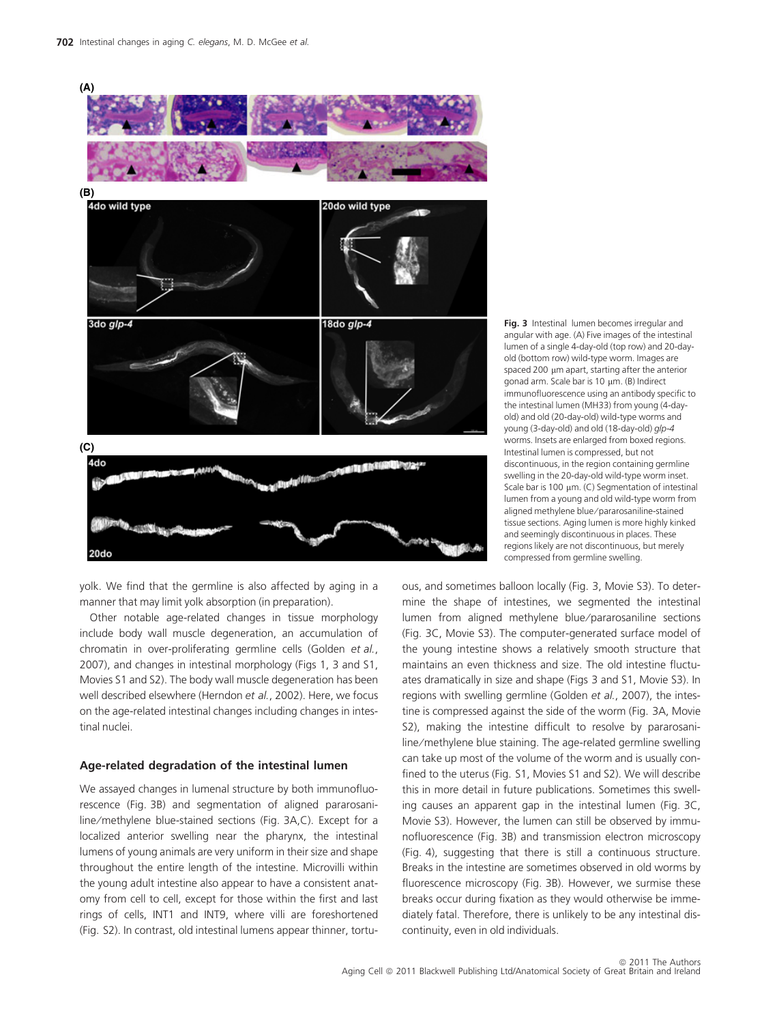

yolk. We find that the germline is also affected by aging in a manner that may limit yolk absorption (in preparation).

Other notable age-related changes in tissue morphology include body wall muscle degeneration, an accumulation of chromatin in over-proliferating germline cells (Golden et al., 2007), and changes in intestinal morphology (Figs 1, 3 and S1, Movies S1 and S2). The body wall muscle degeneration has been well described elsewhere (Herndon et al., 2002). Here, we focus on the age-related intestinal changes including changes in intestinal nuclei.

### Age-related degradation of the intestinal lumen

We assayed changes in lumenal structure by both immunofluorescence (Fig. 3B) and segmentation of aligned pararosaniline/methylene blue-stained sections (Fig. 3A,C). Except for a localized anterior swelling near the pharynx, the intestinal lumens of young animals are very uniform in their size and shape throughout the entire length of the intestine. Microvilli within the young adult intestine also appear to have a consistent anatomy from cell to cell, except for those within the first and last rings of cells, INT1 and INT9, where villi are foreshortened (Fig. S2). In contrast, old intestinal lumens appear thinner, tortuFig. 3 Intestinal lumen becomes irregular and angular with age. (A) Five images of the intestinal lumen of a single 4-day-old (top row) and 20-dayold (bottom row) wild-type worm. Images are spaced 200  $\mu$ m apart, starting after the anterior gonad arm. Scale bar is 10 μm. (B) Indirect immunofluorescence using an antibody specific to the intestinal lumen (MH33) from young (4-dayold) and old (20-day-old) wild-type worms and young (3-day-old) and old (18-day-old) glp-4 worms. Insets are enlarged from boxed regions. Intestinal lumen is compressed, but not discontinuous, in the region containing germline swelling in the 20-day-old wild-type worm inset. Scale bar is 100  $\mu$ m. (C) Segmentation of intestinal lumen from a young and old wild-type worm from aligned methylene blue ⁄ pararosaniline-stained tissue sections. Aging lumen is more highly kinked and seemingly discontinuous in places. These regions likely are not discontinuous, but merely compressed from germline swelling.

ous, and sometimes balloon locally (Fig. 3, Movie S3). To determine the shape of intestines, we segmented the intestinal lumen from aligned methylene blue/pararosaniline sections (Fig. 3C, Movie S3). The computer-generated surface model of the young intestine shows a relatively smooth structure that maintains an even thickness and size. The old intestine fluctuates dramatically in size and shape (Figs 3 and S1, Movie S3). In regions with swelling germline (Golden et al., 2007), the intestine is compressed against the side of the worm (Fig. 3A, Movie S2), making the intestine difficult to resolve by pararosaniline/methylene blue staining. The age-related germline swelling can take up most of the volume of the worm and is usually confined to the uterus (Fig. S1, Movies S1 and S2). We will describe this in more detail in future publications. Sometimes this swelling causes an apparent gap in the intestinal lumen (Fig. 3C, Movie S3). However, the lumen can still be observed by immunofluorescence (Fig. 3B) and transmission electron microscopy (Fig. 4), suggesting that there is still a continuous structure. Breaks in the intestine are sometimes observed in old worms by fluorescence microscopy (Fig. 3B). However, we surmise these breaks occur during fixation as they would otherwise be immediately fatal. Therefore, there is unlikely to be any intestinal discontinuity, even in old individuals.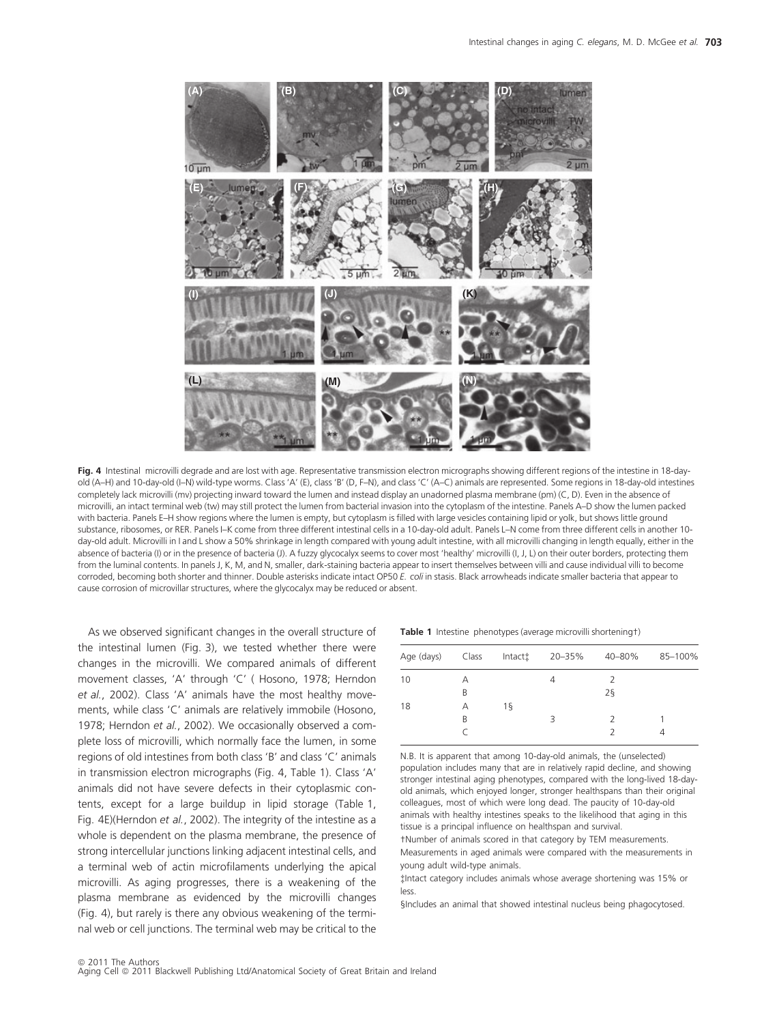

Fig. 4 Intestinal microvilli degrade and are lost with age. Representative transmission electron micrographs showing different regions of the intestine in 18-dayold (A–H) and 10-day-old (I–N) wild-type worms. Class 'A' (E), class 'B' (D, F–N), and class 'C' (A–C) animals are represented. Some regions in 18-day-old intestines completely lack microvilli (mv) projecting inward toward the lumen and instead display an unadorned plasma membrane (pm) (C, D). Even in the absence of microvilli, an intact terminal web (tw) may still protect the lumen from bacterial invasion into the cytoplasm of the intestine. Panels A–D show the lumen packed with bacteria. Panels E–H show regions where the lumen is empty, but cytoplasm is filled with large vesicles containing lipid or yolk, but shows little ground substance, ribosomes, or RER. Panels I–K come from three different intestinal cells in a 10-day-old adult. Panels L–N come from three different cells in another 10 day-old adult. Microvilli in I and L show a 50% shrinkage in length compared with young adult intestine, with all microvilli changing in length equally, either in the absence of bacteria (I) or in the presence of bacteria (J). A fuzzy glycocalyx seems to cover most 'healthy' microvilli (I, J, L) on their outer borders, protecting them from the luminal contents. In panels J, K, M, and N, smaller, dark-staining bacteria appear to insert themselves between villi and cause individual villi to become corroded, becoming both shorter and thinner. Double asterisks indicate intact OP50 E. coli in stasis. Black arrowheads indicate smaller bacteria that appear to cause corrosion of microvillar structures, where the glycocalyx may be reduced or absent.

As we observed significant changes in the overall structure of the intestinal lumen (Fig. 3), we tested whether there were changes in the microvilli. We compared animals of different movement classes, 'A' through 'C' ( Hosono, 1978; Herndon et al., 2002). Class 'A' animals have the most healthy movements, while class 'C' animals are relatively immobile (Hosono, 1978; Herndon et al., 2002). We occasionally observed a complete loss of microvilli, which normally face the lumen, in some regions of old intestines from both class 'B' and class 'C' animals in transmission electron micrographs (Fig. 4, Table 1). Class 'A' animals did not have severe defects in their cytoplasmic contents, except for a large buildup in lipid storage (Table 1, Fig. 4E)(Herndon et al., 2002). The integrity of the intestine as a whole is dependent on the plasma membrane, the presence of strong intercellular junctions linking adjacent intestinal cells, and a terminal web of actin microfilaments underlying the apical microvilli. As aging progresses, there is a weakening of the plasma membrane as evidenced by the microvilli changes (Fig. 4), but rarely is there any obvious weakening of the terminal web or cell junctions. The terminal web may be critical to the

Table 1 Intestine phenotypes (average microvilli shortening†)

| Age (days) Class |   |    | $Intacti$ $20-35%$ | 40–80%        | 85-100% |
|------------------|---|----|--------------------|---------------|---------|
| 10               | А |    | 4                  |               |         |
|                  | B |    |                    | $2\S$         |         |
| 18               | А | 15 |                    |               |         |
|                  | B |    | 3                  | $\mathcal{P}$ |         |
|                  |   |    |                    |               |         |
|                  |   |    |                    |               |         |

N.B. It is apparent that among 10-day-old animals, the (unselected) population includes many that are in relatively rapid decline, and showing stronger intestinal aging phenotypes, compared with the long-lived 18-dayold animals, which enjoyed longer, stronger healthspans than their original colleagues, most of which were long dead. The paucity of 10-day-old animals with healthy intestines speaks to the likelihood that aging in this tissue is a principal influence on healthspan and survival.

†Number of animals scored in that category by TEM measurements. Measurements in aged animals were compared with the measurements in young adult wild-type animals.

-Intact category includes animals whose average shortening was 15% or less.

§Includes an animal that showed intestinal nucleus being phagocytosed.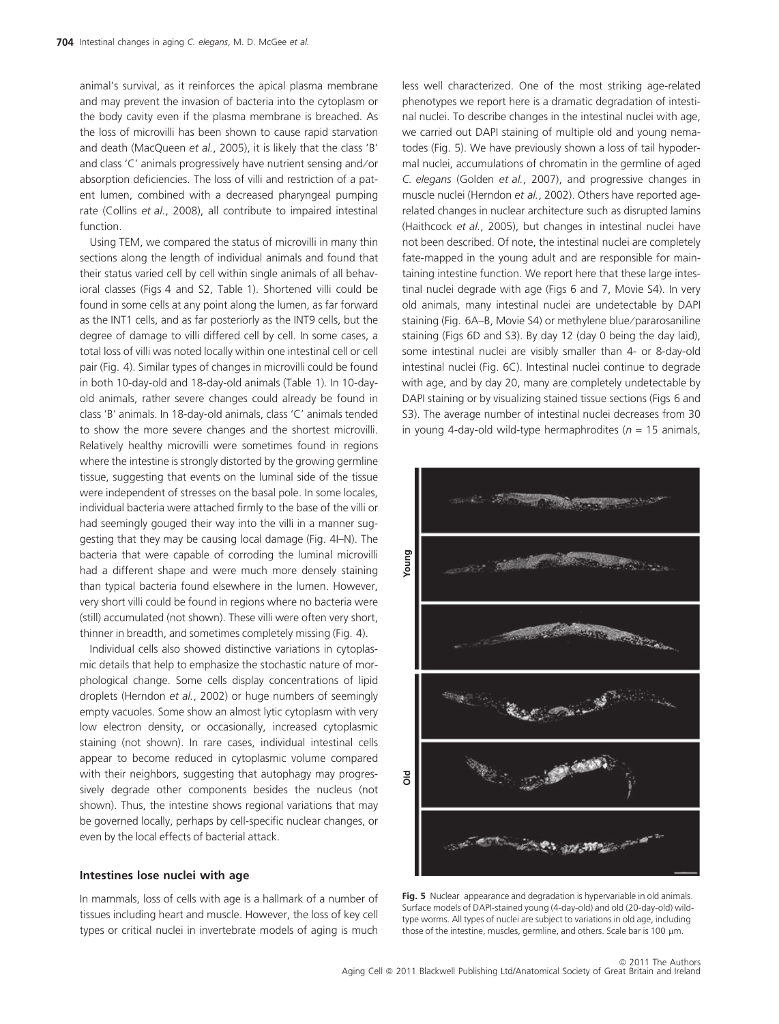animal's survival, as it reinforces the apical plasma membrane and may prevent the invasion of bacteria into the cytoplasm or the body cavity even if the plasma membrane is breached. As the loss of microvilli has been shown to cause rapid starvation and death (MacQueen et al., 2005), it is likely that the class 'B' and class 'C' animals progressively have nutrient sensing and/or absorption deficiencies. The loss of villi and restriction of a patent lumen, combined with a decreased pharyngeal pumping rate (Collins et al., 2008), all contribute to impaired intestinal function.

Using TEM, we compared the status of microvilli in many thin sections along the length of individual animals and found that their status varied cell by cell within single animals of all behavioral classes (Figs 4 and S2, Table 1). Shortened villi could be found in some cells at any point along the lumen, as far forward as the INT1 cells, and as far posteriorly as the INT9 cells, but the degree of damage to villi differed cell by cell. In some cases, a total loss of villi was noted locally within one intestinal cell or cell pair (Fig. 4). Similar types of changes in microvilli could be found in both 10-day-old and 18-day-old animals (Table 1). In 10-dayold animals, rather severe changes could already be found in class 'B' animals. In 18-day-old animals, class 'C' animals tended to show the more severe changes and the shortest microvilli. Relatively healthy microvilli were sometimes found in regions where the intestine is strongly distorted by the growing germline tissue, suggesting that events on the luminal side of the tissue were independent of stresses on the basal pole. In some locales, individual bacteria were attached firmly to the base of the villi or had seemingly gouged their way into the villi in a manner suggesting that they may be causing local damage (Fig. 4I–N). The bacteria that were capable of corroding the luminal microvilli had a different shape and were much more densely staining than typical bacteria found elsewhere in the lumen. However, very short villi could be found in regions where no bacteria were (still) accumulated (not shown). These villi were often very short, thinner in breadth, and sometimes completely missing (Fig. 4).

Individual cells also showed distinctive variations in cytoplasmic details that help to emphasize the stochastic nature of morphological change. Some cells display concentrations of lipid droplets (Herndon et al., 2002) or huge numbers of seemingly empty vacuoles. Some show an almost lytic cytoplasm with very low electron density, or occasionally, increased cytoplasmic staining (not shown). In rare cases, individual intestinal cells appear to become reduced in cytoplasmic volume compared with their neighbors, suggesting that autophagy may progressively degrade other components besides the nucleus (not shown). Thus, the intestine shows regional variations that may be governed locally, perhaps by cell-specific nuclear changes, or even by the local effects of bacterial attack.

#### Intestines lose nuclei with age

In mammals, loss of cells with age is a hallmark of a number of tissues including heart and muscle. However, the loss of key cell types or critical nuclei in invertebrate models of aging is much

less well characterized. One of the most striking age-related phenotypes we report here is a dramatic degradation of intestinal nuclei. To describe changes in the intestinal nuclei with age, we carried out DAPI staining of multiple old and young nematodes (Fig. 5). We have previously shown a loss of tail hypodermal nuclei, accumulations of chromatin in the germline of aged C. elegans (Golden et al., 2007), and progressive changes in muscle nuclei (Herndon et al., 2002). Others have reported agerelated changes in nuclear architecture such as disrupted lamins (Haithcock et al., 2005), but changes in intestinal nuclei have not been described. Of note, the intestinal nuclei are completely fate-mapped in the young adult and are responsible for maintaining intestine function. We report here that these large intestinal nuclei degrade with age (Figs 6 and 7, Movie S4). In very old animals, many intestinal nuclei are undetectable by DAPI staining (Fig. 6A–B, Movie S4) or methylene blue/pararosaniline staining (Figs 6D and S3). By day 12 (day 0 being the day laid), some intestinal nuclei are visibly smaller than 4- or 8-day-old intestinal nuclei (Fig. 6C). Intestinal nuclei continue to degrade with age, and by day 20, many are completely undetectable by DAPI staining or by visualizing stained tissue sections (Figs 6 and S3). The average number of intestinal nuclei decreases from 30 in young 4-day-old wild-type hermaphrodites ( $n = 15$  animals,



Fig. 5 Nuclear appearance and degradation is hypervariable in old animals. Surface models of DAPI-stained young (4-day-old) and old (20-day-old) wildtype worms. All types of nuclei are subject to variations in old age, including those of the intestine, muscles, germline, and others. Scale bar is 100  $\mu$ m.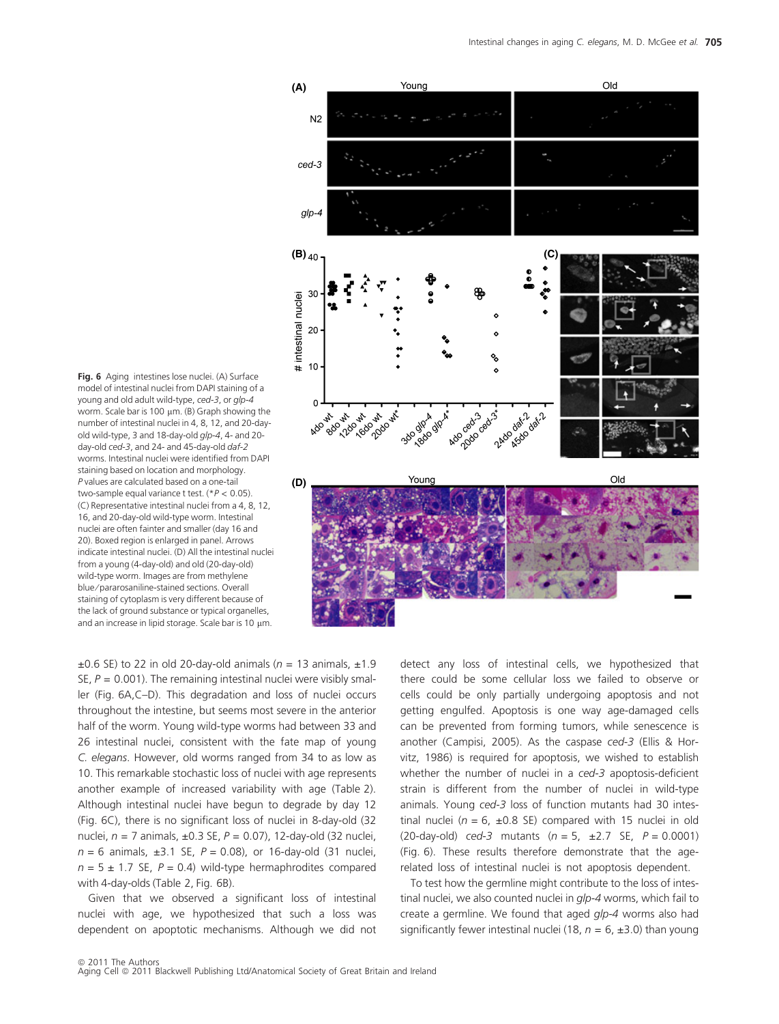

Fig. 6 Aging intestines lose nuclei. (A) Surface model of intestinal nuclei from DAPI staining of a young and old adult wild-type, ced-3, or glp-4 worm. Scale bar is 100  $\mu$ m. (B) Graph showing the number of intestinal nuclei in 4, 8, 12, and 20-dayold wild-type, 3 and 18-day-old glp-4, 4- and 20day-old ced-3, and 24- and 45-day-old daf-2 worms. Intestinal nuclei were identified from DAPI staining based on location and morphology. P values are calculated based on a one-tail two-sample equal variance t test. ( $*P < 0.05$ ). (C) Representative intestinal nuclei from a 4, 8, 12, 16, and 20-day-old wild-type worm. Intestinal nuclei are often fainter and smaller (day 16 and 20). Boxed region is enlarged in panel. Arrows indicate intestinal nuclei. (D) All the intestinal nuclei from a young (4-day-old) and old (20-day-old) wild-type worm. Images are from methylene blue ⁄ pararosaniline-stained sections. Overall staining of cytoplasm is very different because of the lack of ground substance or typical organelles, and an increase in lipid storage. Scale bar is 10  $\mu$ m.

 $\pm$ 0.6 SE) to 22 in old 20-day-old animals (n = 13 animals,  $\pm$ 1.9 SE,  $P = 0.001$ ). The remaining intestinal nuclei were visibly smaller (Fig. 6A,C–D). This degradation and loss of nuclei occurs throughout the intestine, but seems most severe in the anterior half of the worm. Young wild-type worms had between 33 and 26 intestinal nuclei, consistent with the fate map of young C. elegans. However, old worms ranged from 34 to as low as 10. This remarkable stochastic loss of nuclei with age represents another example of increased variability with age (Table 2). Although intestinal nuclei have begun to degrade by day 12 (Fig. 6C), there is no significant loss of nuclei in 8-day-old (32 nuclei,  $n = 7$  animals,  $\pm 0.3$  SE,  $P = 0.07$ ), 12-day-old (32 nuclei,  $n = 6$  animals,  $\pm 3.1$  SE,  $P = 0.08$ ), or 16-day-old (31 nuclei,  $n = 5 \pm 1.7$  SE,  $P = 0.4$ ) wild-type hermaphrodites compared with 4-day-olds (Table 2, Fig. 6B).

Given that we observed a significant loss of intestinal nuclei with age, we hypothesized that such a loss was dependent on apoptotic mechanisms. Although we did not

detect any loss of intestinal cells, we hypothesized that there could be some cellular loss we failed to observe or cells could be only partially undergoing apoptosis and not getting engulfed. Apoptosis is one way age-damaged cells can be prevented from forming tumors, while senescence is another (Campisi, 2005). As the caspase ced-3 (Ellis & Horvitz, 1986) is required for apoptosis, we wished to establish whether the number of nuclei in a ced-3 apoptosis-deficient strain is different from the number of nuclei in wild-type animals. Young ced-3 loss of function mutants had 30 intestinal nuclei ( $n = 6$ ,  $\pm 0.8$  SE) compared with 15 nuclei in old (20-day-old) ced-3 mutants  $(n = 5, \pm 2.7 \text{ SE}, P = 0.0001)$ (Fig. 6). These results therefore demonstrate that the agerelated loss of intestinal nuclei is not apoptosis dependent.

To test how the germline might contribute to the loss of intestinal nuclei, we also counted nuclei in glp-4 worms, which fail to create a germline. We found that aged glp-4 worms also had significantly fewer intestinal nuclei (18,  $n = 6$ ,  $\pm$ 3.0) than young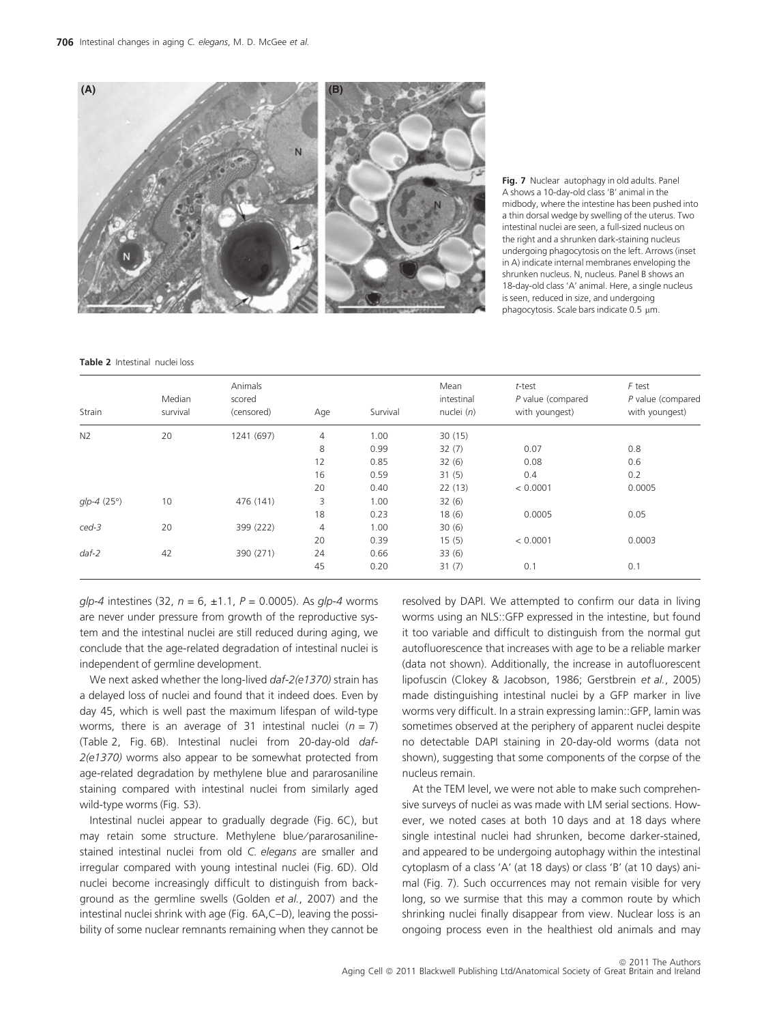

Fig. 7 Nuclear autophagy in old adults. Panel A shows a 10-day-old class 'B' animal in the midbody, where the intestine has been pushed into a thin dorsal wedge by swelling of the uterus. Two intestinal nuclei are seen, a full-sized nucleus on the right and a shrunken dark-staining nucleus undergoing phagocytosis on the left. Arrows (inset in A) indicate internal membranes enveloping the shrunken nucleus. N, nucleus. Panel B shows an 18-day-old class 'A' animal. Here, a single nucleus is seen, reduced in size, and undergoing phagocytosis. Scale bars indicate  $0.5 \mu m$ .

Table 2 Intestinal nuclei loss

| Strain         | Median<br>survival | Animals<br>scored<br>(censored) | Age | Survival | Mean<br>intestinal<br>nuclei $(n)$ | t-test<br>P value (compared<br>with youngest) | F test<br>P value (compared<br>with youngest) |
|----------------|--------------------|---------------------------------|-----|----------|------------------------------------|-----------------------------------------------|-----------------------------------------------|
| N <sub>2</sub> | 20                 | 1241 (697)                      | 4   | 1.00     | 30(15)                             |                                               |                                               |
|                |                    |                                 | 8   | 0.99     | 32(7)                              | 0.07                                          | 0.8                                           |
|                |                    |                                 | 12  | 0.85     | 32(6)                              | 0.08                                          | 0.6                                           |
|                |                    |                                 | 16  | 0.59     | 31(5)                              | 0.4                                           | 0.2                                           |
|                |                    |                                 | 20  | 0.40     | 22(13)                             | < 0.0001                                      | 0.0005                                        |
| $q/p-4$ (25°)  | 10                 | 476 (141)                       | 3   | 1.00     | 32(6)                              |                                               |                                               |
|                |                    |                                 | 18  | 0.23     | 18(6)                              | 0.0005                                        | 0.05                                          |
| $ced-3$        | 20                 | 399 (222)                       | 4   | 1.00     | 30(6)                              |                                               |                                               |
|                |                    |                                 | 20  | 0.39     | 15(5)                              | < 0.0001                                      | 0.0003                                        |
| $daf-2$        | 42                 | 390 (271)                       | 24  | 0.66     | 33(6)                              |                                               |                                               |
|                |                    |                                 | 45  | 0.20     | 31(7)                              | 0.1                                           | 0.1                                           |

 $q/p-4$  intestines (32,  $n = 6, \pm 1.1, P = 0.0005$ ). As  $q/p-4$  worms are never under pressure from growth of the reproductive system and the intestinal nuclei are still reduced during aging, we conclude that the age-related degradation of intestinal nuclei is independent of germline development.

We next asked whether the long-lived daf-2(e1370) strain has a delayed loss of nuclei and found that it indeed does. Even by day 45, which is well past the maximum lifespan of wild-type worms, there is an average of 31 intestinal nuclei  $(n = 7)$ (Table 2, Fig. 6B). Intestinal nuclei from 20-day-old daf-2(e1370) worms also appear to be somewhat protected from age-related degradation by methylene blue and pararosaniline staining compared with intestinal nuclei from similarly aged wild-type worms (Fig. S3).

Intestinal nuclei appear to gradually degrade (Fig. 6C), but may retain some structure. Methylene blue/pararosanilinestained intestinal nuclei from old C. elegans are smaller and irregular compared with young intestinal nuclei (Fig. 6D). Old nuclei become increasingly difficult to distinguish from background as the germline swells (Golden et al., 2007) and the intestinal nuclei shrink with age (Fig. 6A,C–D), leaving the possibility of some nuclear remnants remaining when they cannot be resolved by DAPI. We attempted to confirm our data in living worms using an NLS::GFP expressed in the intestine, but found it too variable and difficult to distinguish from the normal gut autofluorescence that increases with age to be a reliable marker (data not shown). Additionally, the increase in autofluorescent lipofuscin (Clokey & Jacobson, 1986; Gerstbrein et al., 2005) made distinguishing intestinal nuclei by a GFP marker in live worms very difficult. In a strain expressing lamin::GFP, lamin was sometimes observed at the periphery of apparent nuclei despite no detectable DAPI staining in 20-day-old worms (data not shown), suggesting that some components of the corpse of the nucleus remain.

At the TEM level, we were not able to make such comprehensive surveys of nuclei as was made with LM serial sections. However, we noted cases at both 10 days and at 18 days where single intestinal nuclei had shrunken, become darker-stained, and appeared to be undergoing autophagy within the intestinal cytoplasm of a class 'A' (at 18 days) or class 'B' (at 10 days) animal (Fig. 7). Such occurrences may not remain visible for very long, so we surmise that this may a common route by which shrinking nuclei finally disappear from view. Nuclear loss is an ongoing process even in the healthiest old animals and may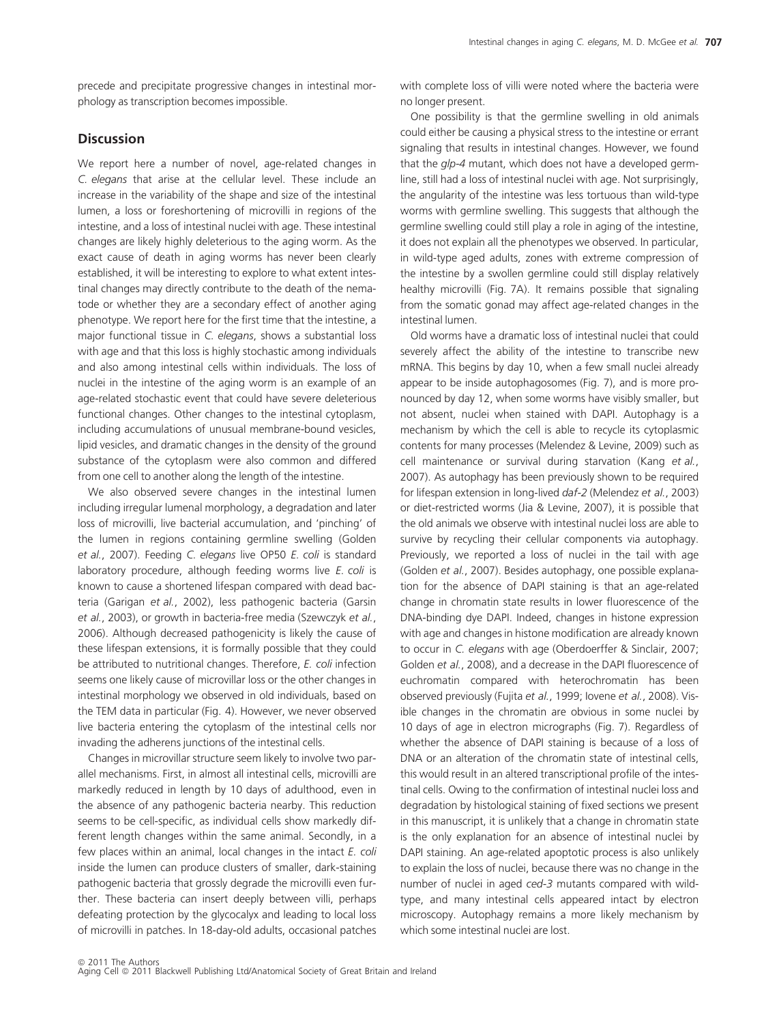precede and precipitate progressive changes in intestinal morphology as transcription becomes impossible.

# **Discussion**

We report here a number of novel, age-related changes in C. elegans that arise at the cellular level. These include an increase in the variability of the shape and size of the intestinal lumen, a loss or foreshortening of microvilli in regions of the intestine, and a loss of intestinal nuclei with age. These intestinal changes are likely highly deleterious to the aging worm. As the exact cause of death in aging worms has never been clearly established, it will be interesting to explore to what extent intestinal changes may directly contribute to the death of the nematode or whether they are a secondary effect of another aging phenotype. We report here for the first time that the intestine, a major functional tissue in C. elegans, shows a substantial loss with age and that this loss is highly stochastic among individuals and also among intestinal cells within individuals. The loss of nuclei in the intestine of the aging worm is an example of an age-related stochastic event that could have severe deleterious functional changes. Other changes to the intestinal cytoplasm, including accumulations of unusual membrane-bound vesicles, lipid vesicles, and dramatic changes in the density of the ground substance of the cytoplasm were also common and differed from one cell to another along the length of the intestine.

We also observed severe changes in the intestinal lumen including irregular lumenal morphology, a degradation and later loss of microvilli, live bacterial accumulation, and 'pinching' of the lumen in regions containing germline swelling (Golden et al., 2007). Feeding C. elegans live OP50 E. coli is standard laboratory procedure, although feeding worms live E. coli is known to cause a shortened lifespan compared with dead bacteria (Garigan et al., 2002), less pathogenic bacteria (Garsin et al., 2003), or growth in bacteria-free media (Szewczyk et al., 2006). Although decreased pathogenicity is likely the cause of these lifespan extensions, it is formally possible that they could be attributed to nutritional changes. Therefore, E. coli infection seems one likely cause of microvillar loss or the other changes in intestinal morphology we observed in old individuals, based on the TEM data in particular (Fig. 4). However, we never observed live bacteria entering the cytoplasm of the intestinal cells nor invading the adherens junctions of the intestinal cells.

Changes in microvillar structure seem likely to involve two parallel mechanisms. First, in almost all intestinal cells, microvilli are markedly reduced in length by 10 days of adulthood, even in the absence of any pathogenic bacteria nearby. This reduction seems to be cell-specific, as individual cells show markedly different length changes within the same animal. Secondly, in a few places within an animal, local changes in the intact E. coli inside the lumen can produce clusters of smaller, dark-staining pathogenic bacteria that grossly degrade the microvilli even further. These bacteria can insert deeply between villi, perhaps defeating protection by the glycocalyx and leading to local loss of microvilli in patches. In 18-day-old adults, occasional patches with complete loss of villi were noted where the bacteria were no longer present.

One possibility is that the germline swelling in old animals could either be causing a physical stress to the intestine or errant signaling that results in intestinal changes. However, we found that the *qlp-4* mutant, which does not have a developed germline, still had a loss of intestinal nuclei with age. Not surprisingly, the angularity of the intestine was less tortuous than wild-type worms with germline swelling. This suggests that although the germline swelling could still play a role in aging of the intestine, it does not explain all the phenotypes we observed. In particular, in wild-type aged adults, zones with extreme compression of the intestine by a swollen germline could still display relatively healthy microvilli (Fig. 7A). It remains possible that signaling from the somatic gonad may affect age-related changes in the intestinal lumen.

Old worms have a dramatic loss of intestinal nuclei that could severely affect the ability of the intestine to transcribe new mRNA. This begins by day 10, when a few small nuclei already appear to be inside autophagosomes (Fig. 7), and is more pronounced by day 12, when some worms have visibly smaller, but not absent, nuclei when stained with DAPI. Autophagy is a mechanism by which the cell is able to recycle its cytoplasmic contents for many processes (Melendez & Levine, 2009) such as cell maintenance or survival during starvation (Kang et al., 2007). As autophagy has been previously shown to be required for lifespan extension in long-lived daf-2 (Melendez et al., 2003) or diet-restricted worms (Jia & Levine, 2007), it is possible that the old animals we observe with intestinal nuclei loss are able to survive by recycling their cellular components via autophagy. Previously, we reported a loss of nuclei in the tail with age (Golden et al., 2007). Besides autophagy, one possible explanation for the absence of DAPI staining is that an age-related change in chromatin state results in lower fluorescence of the DNA-binding dye DAPI. Indeed, changes in histone expression with age and changes in histone modification are already known to occur in C. elegans with age (Oberdoerffer & Sinclair, 2007; Golden et al., 2008), and a decrease in the DAPI fluorescence of euchromatin compared with heterochromatin has been observed previously (Fujita et al., 1999; Iovene et al., 2008). Visible changes in the chromatin are obvious in some nuclei by 10 days of age in electron micrographs (Fig. 7). Regardless of whether the absence of DAPI staining is because of a loss of DNA or an alteration of the chromatin state of intestinal cells, this would result in an altered transcriptional profile of the intestinal cells. Owing to the confirmation of intestinal nuclei loss and degradation by histological staining of fixed sections we present in this manuscript, it is unlikely that a change in chromatin state is the only explanation for an absence of intestinal nuclei by DAPI staining. An age-related apoptotic process is also unlikely to explain the loss of nuclei, because there was no change in the number of nuclei in aged ced-3 mutants compared with wildtype, and many intestinal cells appeared intact by electron microscopy. Autophagy remains a more likely mechanism by which some intestinal nuclei are lost.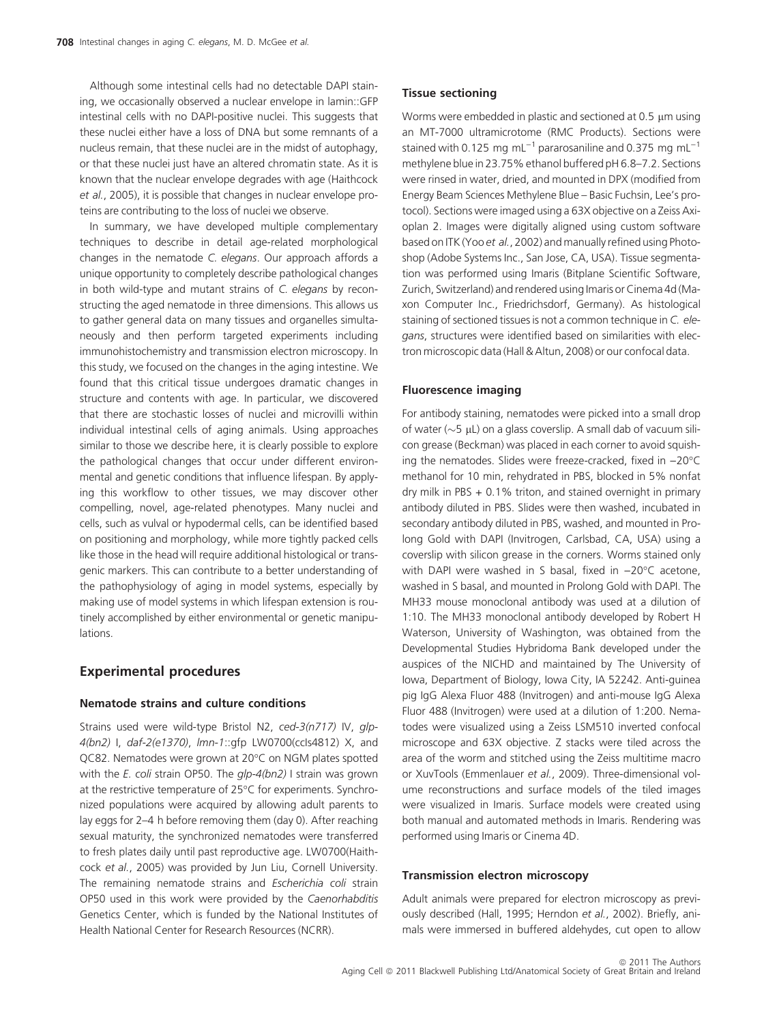Although some intestinal cells had no detectable DAPI staining, we occasionally observed a nuclear envelope in lamin::GFP intestinal cells with no DAPI-positive nuclei. This suggests that these nuclei either have a loss of DNA but some remnants of a nucleus remain, that these nuclei are in the midst of autophagy, or that these nuclei just have an altered chromatin state. As it is known that the nuclear envelope degrades with age (Haithcock et al., 2005), it is possible that changes in nuclear envelope proteins are contributing to the loss of nuclei we observe.

In summary, we have developed multiple complementary techniques to describe in detail age-related morphological changes in the nematode C. elegans. Our approach affords a unique opportunity to completely describe pathological changes in both wild-type and mutant strains of C. elegans by reconstructing the aged nematode in three dimensions. This allows us to gather general data on many tissues and organelles simultaneously and then perform targeted experiments including immunohistochemistry and transmission electron microscopy. In this study, we focused on the changes in the aging intestine. We found that this critical tissue undergoes dramatic changes in structure and contents with age. In particular, we discovered that there are stochastic losses of nuclei and microvilli within individual intestinal cells of aging animals. Using approaches similar to those we describe here, it is clearly possible to explore the pathological changes that occur under different environmental and genetic conditions that influence lifespan. By applying this workflow to other tissues, we may discover other compelling, novel, age-related phenotypes. Many nuclei and cells, such as vulval or hypodermal cells, can be identified based on positioning and morphology, while more tightly packed cells like those in the head will require additional histological or transgenic markers. This can contribute to a better understanding of the pathophysiology of aging in model systems, especially by making use of model systems in which lifespan extension is routinely accomplished by either environmental or genetic manipulations.

## Experimental procedures

## Nematode strains and culture conditions

Strains used were wild-type Bristol N2, ced-3(n717) IV, qlp-4(bn2) I, daf-2(e1370), lmn-1::gfp LW0700(ccIs4812) X, and QC82. Nematodes were grown at 20°C on NGM plates spotted with the E. coli strain OP50. The glp-4(bn2) I strain was grown at the restrictive temperature of 25°C for experiments. Synchronized populations were acquired by allowing adult parents to lay eggs for 2–4 h before removing them (day 0). After reaching sexual maturity, the synchronized nematodes were transferred to fresh plates daily until past reproductive age. LW0700(Haithcock et al., 2005) was provided by Jun Liu, Cornell University. The remaining nematode strains and Escherichia coli strain OP50 used in this work were provided by the Caenorhabditis Genetics Center, which is funded by the National Institutes of Health National Center for Research Resources (NCRR).

#### Tissue sectioning

Worms were embedded in plastic and sectioned at  $0.5 \mu m$  using an MT-7000 ultramicrotome (RMC Products). Sections were stained with 0.125 mg mL<sup>-1</sup> pararosaniline and 0.375 mg mL<sup>-1</sup> methylene blue in 23.75% ethanol buffered pH 6.8–7.2. Sections were rinsed in water, dried, and mounted in DPX (modified from Energy Beam Sciences Methylene Blue – Basic Fuchsin, Lee's protocol). Sections were imaged using a 63X objective on a Zeiss Axioplan 2. Images were digitally aligned using custom software based on ITK (Yoo et al., 2002) and manually refined using Photoshop (Adobe Systems Inc., San Jose, CA, USA). Tissue segmentation was performed using Imaris (Bitplane Scientific Software, Zurich, Switzerland) and rendered using Imaris or Cinema 4d (Maxon Computer Inc., Friedrichsdorf, Germany). As histological staining of sectioned tissues is not a common technique in C. elegans, structures were identified based on similarities with electron microscopic data (Hall & Altun, 2008) or our confocal data.

#### Fluorescence imaging

For antibody staining, nematodes were picked into a small drop of water ( $\sim$ 5  $\mu$ L) on a glass coverslip. A small dab of vacuum silicon grease (Beckman) was placed in each corner to avoid squishing the nematodes. Slides were freeze-cracked, fixed in  $-20^{\circ}$ C methanol for 10 min, rehydrated in PBS, blocked in 5% nonfat dry milk in PBS + 0.1% triton, and stained overnight in primary antibody diluted in PBS. Slides were then washed, incubated in secondary antibody diluted in PBS, washed, and mounted in Prolong Gold with DAPI (Invitrogen, Carlsbad, CA, USA) using a coverslip with silicon grease in the corners. Worms stained only with DAPI were washed in S basal, fixed in  $-20^{\circ}$ C acetone, washed in S basal, and mounted in Prolong Gold with DAPI. The MH33 mouse monoclonal antibody was used at a dilution of 1:10. The MH33 monoclonal antibody developed by Robert H Waterson, University of Washington, was obtained from the Developmental Studies Hybridoma Bank developed under the auspices of the NICHD and maintained by The University of Iowa, Department of Biology, Iowa City, IA 52242. Anti-guinea pig IgG Alexa Fluor 488 (Invitrogen) and anti-mouse IgG Alexa Fluor 488 (Invitrogen) were used at a dilution of 1:200. Nematodes were visualized using a Zeiss LSM510 inverted confocal microscope and 63X objective. Z stacks were tiled across the area of the worm and stitched using the Zeiss multitime macro or XuvTools (Emmenlauer et al., 2009). Three-dimensional volume reconstructions and surface models of the tiled images were visualized in Imaris. Surface models were created using both manual and automated methods in Imaris. Rendering was performed using Imaris or Cinema 4D.

#### Transmission electron microscopy

Adult animals were prepared for electron microscopy as previously described (Hall, 1995; Herndon et al., 2002). Briefly, animals were immersed in buffered aldehydes, cut open to allow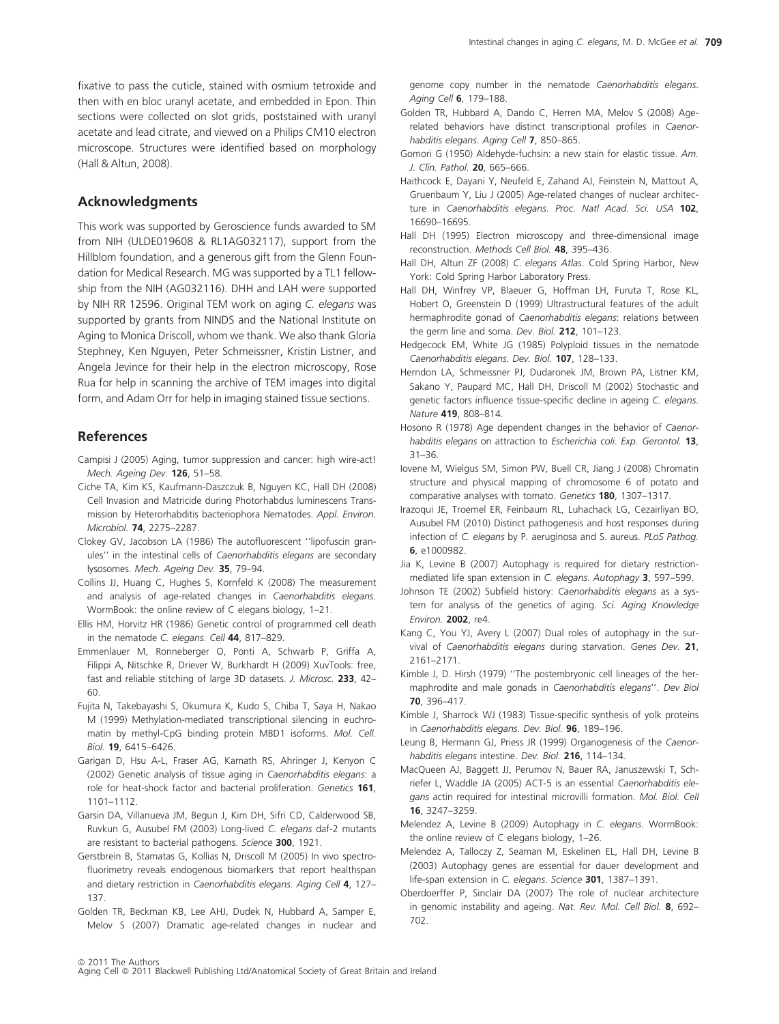## Acknowledgments

This work was supported by Geroscience funds awarded to SM from NIH (ULDE019608 & RL1AG032117), support from the Hillblom foundation, and a generous gift from the Glenn Foundation for Medical Research. MG was supported by a TL1 fellowship from the NIH (AG032116). DHH and LAH were supported by NIH RR 12596. Original TEM work on aging C. elegans was supported by grants from NINDS and the National Institute on Aging to Monica Driscoll, whom we thank. We also thank Gloria Stephney, Ken Nguyen, Peter Schmeissner, Kristin Listner, and Angela Jevince for their help in the electron microscopy, Rose Rua for help in scanning the archive of TEM images into digital form, and Adam Orr for help in imaging stained tissue sections.

## References

- Campisi J (2005) Aging, tumor suppression and cancer: high wire-act! Mech. Ageing Dev. 126, 51–58.
- Ciche TA, Kim KS, Kaufmann-Daszczuk B, Nguyen KC, Hall DH (2008) Cell Invasion and Matricide during Photorhabdus luminescens Transmission by Heterorhabditis bacteriophora Nematodes. Appl. Environ. Microbiol. 74, 2275–2287.
- Clokey GV, Jacobson LA (1986) The autofluorescent ''lipofuscin granules'' in the intestinal cells of Caenorhabditis elegans are secondary lysosomes. Mech. Ageing Dev. 35, 79–94.
- Collins JJ, Huang C, Hughes S, Kornfeld K (2008) The measurement and analysis of age-related changes in Caenorhabditis elegans. WormBook: the online review of C elegans biology, 1–21.
- Ellis HM, Horvitz HR (1986) Genetic control of programmed cell death in the nematode C. elegans. Cell 44, 817-829.
- Emmenlauer M, Ronneberger O, Ponti A, Schwarb P, Griffa A, Filippi A, Nitschke R, Driever W, Burkhardt H (2009) XuvTools: free, fast and reliable stitching of large 3D datasets. J. Microsc. 233, 42– 60.
- Fujita N, Takebayashi S, Okumura K, Kudo S, Chiba T, Saya H, Nakao M (1999) Methylation-mediated transcriptional silencing in euchromatin by methyl-CpG binding protein MBD1 isoforms. Mol. Cell. Biol. 19, 6415–6426.
- Garigan D, Hsu A-L, Fraser AG, Kamath RS, Ahringer J, Kenyon C (2002) Genetic analysis of tissue aging in Caenorhabditis elegans: a role for heat-shock factor and bacterial proliferation. Genetics 161, 1101–1112.
- Garsin DA, Villanueva JM, Begun J, Kim DH, Sifri CD, Calderwood SB, Ruvkun G, Ausubel FM (2003) Long-lived C. elegans daf-2 mutants are resistant to bacterial pathogens. Science 300, 1921.
- Gerstbrein B, Stamatas G, Kollias N, Driscoll M (2005) In vivo spectrofluorimetry reveals endogenous biomarkers that report healthspan and dietary restriction in Caenorhabditis elegans. Aging Cell 4, 127– 137.
- Golden TR, Beckman KB, Lee AHJ, Dudek N, Hubbard A, Samper E, Melov S (2007) Dramatic age-related changes in nuclear and

genome copy number in the nematode Caenorhabditis elegans. Aging Cell 6, 179-188.

- Golden TR, Hubbard A, Dando C, Herren MA, Melov S (2008) Agerelated behaviors have distinct transcriptional profiles in Caenorhabditis elegans. Aging Cell 7, 850-865.
- Gomori G (1950) Aldehyde-fuchsin: a new stain for elastic tissue. Am. J. Clin. Pathol. 20, 665–666.
- Haithcock E, Dayani Y, Neufeld E, Zahand AJ, Feinstein N, Mattout A, Gruenbaum Y, Liu J (2005) Age-related changes of nuclear architecture in Caenorhabditis elegans. Proc. Natl Acad. Sci. USA 102, 16690–16695.
- Hall DH (1995) Electron microscopy and three-dimensional image reconstruction. Methods Cell Biol. 48, 395–436.
- Hall DH, Altun ZF (2008) C. elegans Atlas. Cold Spring Harbor, New York: Cold Spring Harbor Laboratory Press.
- Hall DH, Winfrey VP, Blaeuer G, Hoffman LH, Furuta T, Rose KL, Hobert O, Greenstein D (1999) Ultrastructural features of the adult hermaphrodite gonad of Caenorhabditis elegans: relations between the germ line and soma. Dev. Biol. 212, 101-123.
- Hedgecock EM, White JG (1985) Polyploid tissues in the nematode Caenorhabditis elegans. Dev. Biol. 107, 128–133.
- Herndon LA, Schmeissner PJ, Dudaronek JM, Brown PA, Listner KM, Sakano Y, Paupard MC, Hall DH, Driscoll M (2002) Stochastic and genetic factors influence tissue-specific decline in ageing C. elegans. Nature 419, 808–814.
- Hosono R (1978) Age dependent changes in the behavior of Caenorhabditis elegans on attraction to Escherichia coli. Exp. Gerontol. 13, 31–36.
- Iovene M, Wielgus SM, Simon PW, Buell CR, Jiang J (2008) Chromatin structure and physical mapping of chromosome 6 of potato and comparative analyses with tomato. Genetics 180, 1307–1317.
- Irazoqui JE, Troemel ER, Feinbaum RL, Luhachack LG, Cezairliyan BO, Ausubel FM (2010) Distinct pathogenesis and host responses during infection of C. elegans by P. aeruginosa and S. aureus. PLoS Pathog. 6, e1000982.
- Jia K, Levine B (2007) Autophagy is required for dietary restrictionmediated life span extension in C. elegans. Autophagy 3, 597–599.
- Johnson TE (2002) Subfield history: Caenorhabditis elegans as a system for analysis of the genetics of aging. Sci. Aging Knowledge Environ. 2002, re4.
- Kang C, You YJ, Avery L (2007) Dual roles of autophagy in the survival of Caenorhabditis elegans during starvation. Genes Dev. 21, 2161–2171.
- Kimble J, D. Hirsh (1979) ''The postembryonic cell lineages of the hermaphrodite and male gonads in Caenorhabditis elegans''. Dev Biol 70, 396–417.
- Kimble J, Sharrock WJ (1983) Tissue-specific synthesis of yolk proteins in Caenorhabditis elegans. Dev. Biol. 96, 189–196.
- Leung B, Hermann GJ, Priess JR (1999) Organogenesis of the Caenorhabditis elegans intestine. Dev. Biol. 216, 114–134.
- MacQueen AJ, Baggett JJ, Perumov N, Bauer RA, Januszewski T, Schriefer L, Waddle JA (2005) ACT-5 is an essential Caenorhabditis elegans actin required for intestinal microvilli formation. Mol. Biol. Cell 16, 3247–3259.
- Melendez A, Levine B (2009) Autophagy in C. elegans. WormBook: the online review of C elegans biology, 1–26.
- Melendez A, Talloczy Z, Seaman M, Eskelinen EL, Hall DH, Levine B (2003) Autophagy genes are essential for dauer development and life-span extension in C. elegans. Science 301, 1387-1391.
- Oberdoerffer P, Sinclair DA (2007) The role of nuclear architecture in genomic instability and ageing. Nat. Rev. Mol. Cell Biol. 8, 692– 702.